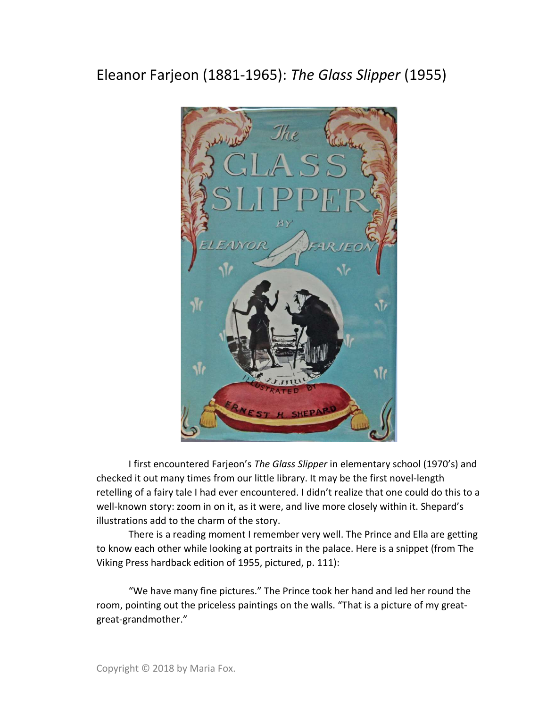## Eleanor Farjeon (1881-1965): The Glass Slipper (1955)



I first encountered Farjeon's The Glass Slipper in elementary school (1970's) and checked it out many times from our little library. It may be the first novel-length retelling of a fairy tale I had ever encountered. I didn't realize that one could do this to a well-known story: zoom in on it, as it were, and live more closely within it. Shepard's illustrations add to the charm of the story.

There is a reading moment I remember very well. The Prince and Ella are getting to know each other while looking at portraits in the palace. Here is a snippet (from The Viking Press hardback edition of 1955, pictured, p. 111):

 "We have many fine pictures." The Prince took her hand and led her round the room, pointing out the priceless paintings on the walls. "That is a picture of my greatgreat-grandmother."